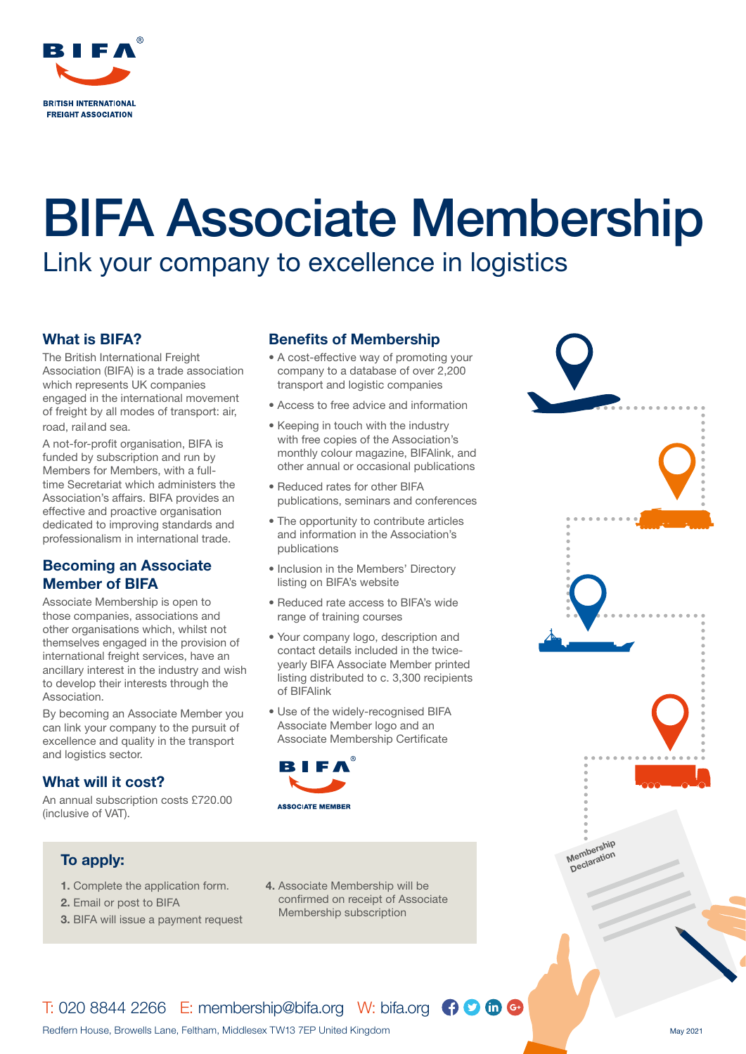

# BIFA Associate Membership

Link your company to excellence in logistics

### What is BIFA?

The British International Freight Association (BIFA) is a trade association which represents UK companies engaged in the international movement of freight by all modes of transport: air, road, railand sea.

A not-for-profit organisation, BIFA is funded by subscription and run by Members for Members, with a fulltime Secretariat which administers the Association's affairs. BIFA provides an effective and proactive organisation dedicated to improving standards and professionalism in international trade.

## Becoming an Associate Member of BIFA

Associate Membership is open to those companies, associations and other organisations which, whilst not themselves engaged in the provision of international freight services, have an ancillary interest in the industry and wish to develop their interests through the Association.

By becoming an Associate Member you can link your company to the pursuit of excellence and quality in the transport and logistics sector.

## What will it cost?

An annual subscription costs £720.00 (inclusive of VAT).

# Benefits of Membership

- A cost-effective way of promoting your company to a database of over 2,200 transport and logistic companies
- Access to free advice and information
- Keeping in touch with the industry with free copies of the Association's monthly colour magazine, BIFAlink, and other annual or occasional publications
- Reduced rates for other BIFA publications, seminars and conferences
- The opportunity to contribute articles and information in the Association's publications
- Inclusion in the Members' Directory listing on BIFA's website
- Reduced rate access to BIFA's wide range of training courses
- Your company logo, description and contact details included in the twiceyearly BIFA Associate Member printed listing distributed to c. 3,300 recipients of BIFAlink
- Use of the widely-recognised BIFA Associate Member logo and an Associate Membership Certificate





- 1. Complete the application form.
- 2. Email or post to BIFA
- 3. BIFA will issue a payment request
- 4. Associate Membership will be confirmed on receipt of Associate Membership subscription



# $T: 020 8844 2266$  E: membership@bifa.org W: bifa.org  $\bigoplus$   $\bigoplus$   $\bigoplus$   $\bigoplus$

Redfern House, Browells Lane, Feltham, Middlesex TW13 7EP United Kingdom May 2021